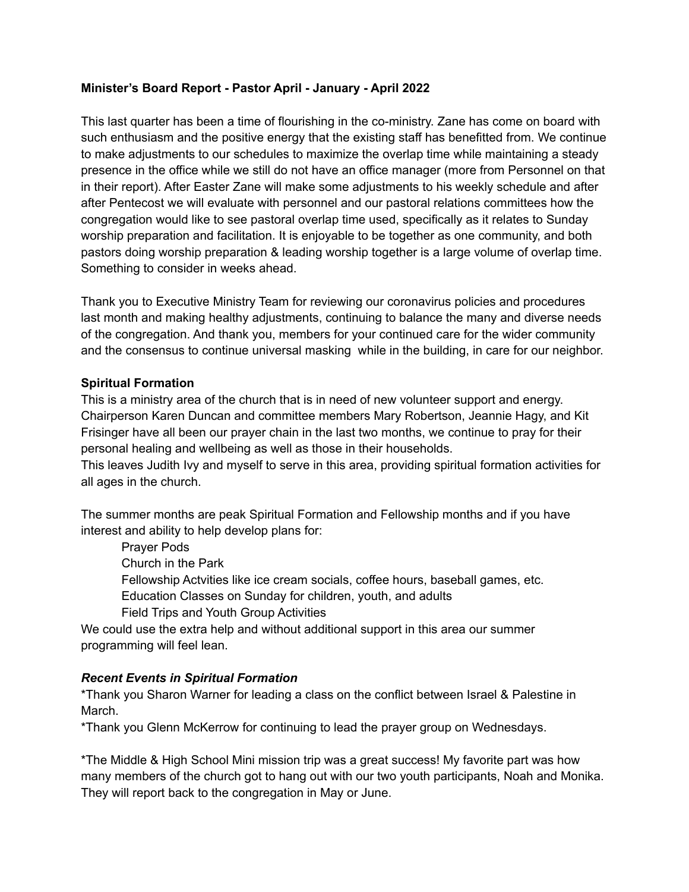## **Minister's Board Report - Pastor April - January - April 2022**

This last quarter has been a time of flourishing in the co-ministry. Zane has come on board with such enthusiasm and the positive energy that the existing staff has benefitted from. We continue to make adjustments to our schedules to maximize the overlap time while maintaining a steady presence in the office while we still do not have an office manager (more from Personnel on that in their report). After Easter Zane will make some adjustments to his weekly schedule and after after Pentecost we will evaluate with personnel and our pastoral relations committees how the congregation would like to see pastoral overlap time used, specifically as it relates to Sunday worship preparation and facilitation. It is enjoyable to be together as one community, and both pastors doing worship preparation & leading worship together is a large volume of overlap time. Something to consider in weeks ahead.

Thank you to Executive Ministry Team for reviewing our coronavirus policies and procedures last month and making healthy adjustments, continuing to balance the many and diverse needs of the congregation. And thank you, members for your continued care for the wider community and the consensus to continue universal masking while in the building, in care for our neighbor.

### **Spiritual Formation**

This is a ministry area of the church that is in need of new volunteer support and energy. Chairperson Karen Duncan and committee members Mary Robertson, Jeannie Hagy, and Kit Frisinger have all been our prayer chain in the last two months, we continue to pray for their personal healing and wellbeing as well as those in their households.

This leaves Judith Ivy and myself to serve in this area, providing spiritual formation activities for all ages in the church.

The summer months are peak Spiritual Formation and Fellowship months and if you have interest and ability to help develop plans for:

Prayer Pods

Church in the Park

Fellowship Actvities like ice cream socials, coffee hours, baseball games, etc.

Education Classes on Sunday for children, youth, and adults

Field Trips and Youth Group Activities

We could use the extra help and without additional support in this area our summer programming will feel lean.

### *Recent Events in Spiritual Formation*

\*Thank you Sharon Warner for leading a class on the conflict between Israel & Palestine in March.

\*Thank you Glenn McKerrow for continuing to lead the prayer group on Wednesdays.

\*The Middle & High School Mini mission trip was a great success! My favorite part was how many members of the church got to hang out with our two youth participants, Noah and Monika. They will report back to the congregation in May or June.